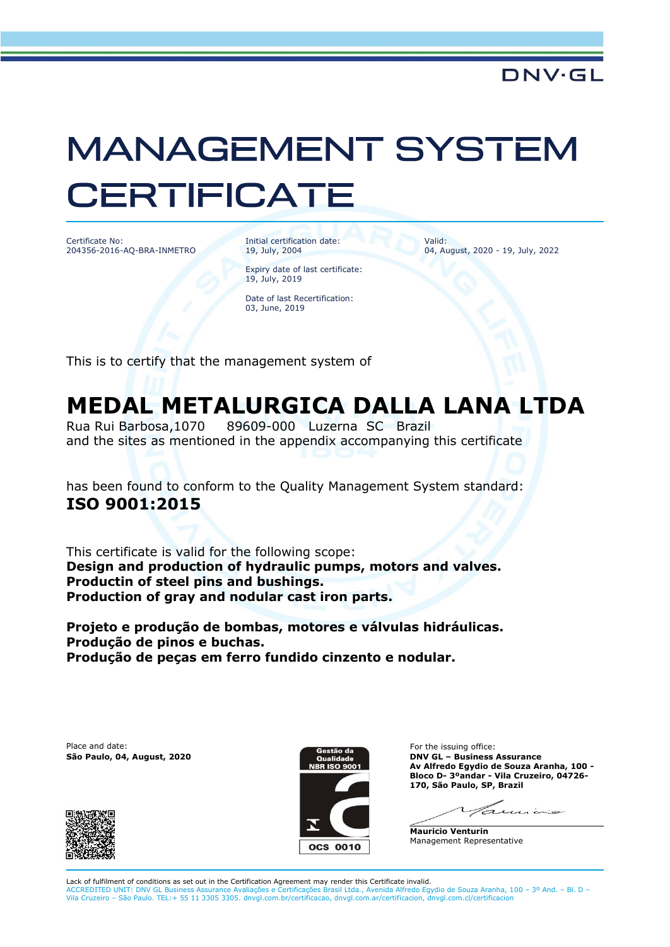## **MANAGEMENT SYSTEM CERTIFICATE**

Certificate No: 204356-2016-AQ-BRA-INMETRO Initial certification date: 19, July, 2004

Expiry date of last certificate:

Valid: 04, August, 2020 - 19, July, 2022

Date of last Recertification: 03, June, 2019

19, July, 2019

This is to certify that the management system of

## **MEDAL METALURGICA DALLA LANA LTDA**

Rua Rui Barbosa,1070 89609-000 Luzerna SC Brazil and the sites as mentioned in the appendix accompanying this certificate

has been found to conform to the Quality Management System standard: **ISO 9001:2015**

This certificate is valid for the following scope: **Design and production of hydraulic pumps, motors and valves. Productin of steel pins and bushings. Production of gray and nodular cast iron parts.**

**Projeto e produção de bombas, motores e válvulas hidráulicas. Produção de pinos e buchas. Produção de peças em ferro fundido cinzento e nodular.**

Place and date:





For the issuing office: **São Paulo, 04, August, 2020 DNV GL – Business Assurance Av Alfredo Egydio de Souza Aranha, 100 - Bloco D- 3ºandar - Vila Cruzeiro, 04726- 170, São Paulo, SP, Brazil**

 $n \in \mathbb{Z}$ 

**Mauricio Venturin** Management Representative

Lack of fulfilment of conditions as set out in the Certification Agreement may render this Certificate invalid.<br>ACCREDITED UNIT: DNV GL Business Assurance Avaliações e Certificações Brasil Ltda., Avenida Alfredo Egydio de ACCREDITED UNIT: DNV GL Business Assurance Avaliações e Certificações Brasil Ltda., Avenida Alfredo Egydio de Souza Aranha, 100 – 3º And. – Bl. D –<br>Vila Cruzeiro – São Paulo. TEL:+ 55 11 3305 3305. dnvgl.com.br/certificaca